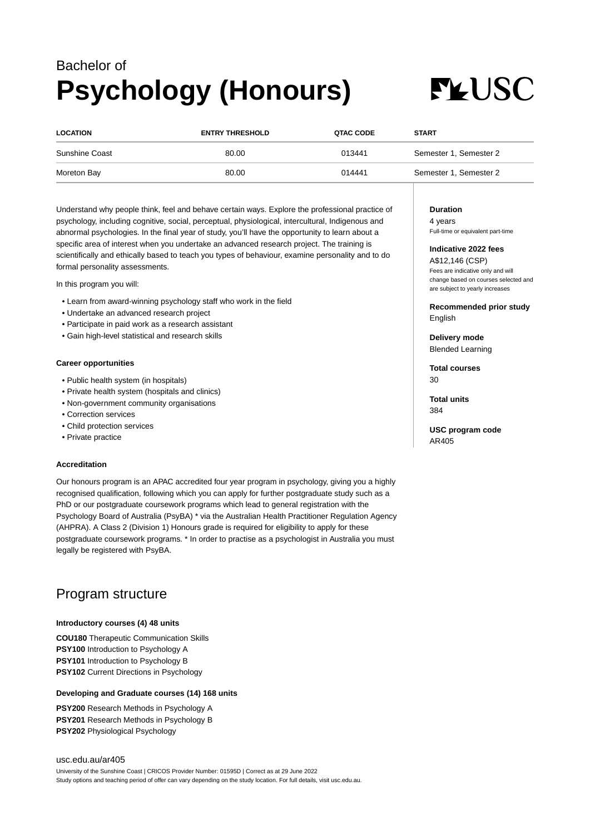## Bachelor of **Psychology (Honours)**

# **FLUSC**

| <b>LOCATION</b>       | <b>ENTRY THRESHOLD</b> | QTAC CODE | <b>START</b>           |
|-----------------------|------------------------|-----------|------------------------|
| <b>Sunshine Coast</b> | 80.00                  | 013441    | Semester 1, Semester 2 |
| Moreton Bay           | 80.00                  | 014441    | Semester 1, Semester 2 |

Understand why people think, feel and behave certain ways. Explore the professional practice of psychology, including cognitive, social, perceptual, physiological, intercultural, Indigenous and abnormal psychologies. In the final year of study, you'll have the opportunity to learn about a specific area of interest when you undertake an advanced research project. The training is scientifically and ethically based to teach you types of behaviour, examine personality and to do formal personality assessments.

In this program you will:

- Learn from award-winning psychology staff who work in the field
- Undertake an advanced research project
- Participate in paid work as a research assistant
- Gain high-level statistical and research skills

#### **Career opportunities**

- Public health system (in hospitals)
- Private health system (hospitals and clinics)
- Non-government community organisations
- Correction services
- Child protection services
- Private practice

#### **Accreditation**

Our honours program is an APAC accredited four year program in psychology, giving you a highly recognised qualification, following which you can apply for further postgraduate study such as a PhD or our postgraduate coursework programs which lead to general registration with the Psychology Board of Australia (PsyBA) \* via the Australian Health Practitioner Regulation Agency (AHPRA). A Class 2 (Division 1) Honours grade is required for eligibility to apply for these postgraduate coursework programs. \* In order to practise as a psychologist in Australia you must legally be registered with PsyBA.

### Program structure

#### **Introductory courses (4) 48 units**

**COU180** Therapeutic Communication Skills **PSY100** Introduction to Psychology A **PSY101** Introduction to Psychology B **PSY102** Current Directions in Psychology

#### **Developing and Graduate courses (14) 168 units**

**PSY200** Research Methods in Psychology A **PSY201** Research Methods in Psychology B **PSY202** Physiological Psychology

#### [usc.edu.au/ar405](https://www.usc.edu.au/ar405) University of the Sunshine Coast | CRICOS Provider Number: 01595D | Correct as at 29 June 2022 Study options and teaching period of offer can vary depending on the study location. For full details, visit usc.edu.au.

**Duration**

4 years Full-time or equivalent part-time

#### **Indicative 2022 fees**

A\$12,146 (CSP) Fees are indicative only and will change based on courses selected and are subject to yearly increases

**Recommended prior study** English

**Delivery mode** Blended Learning

**Total courses** 30

**Total units** 384

**USC program code** AR405